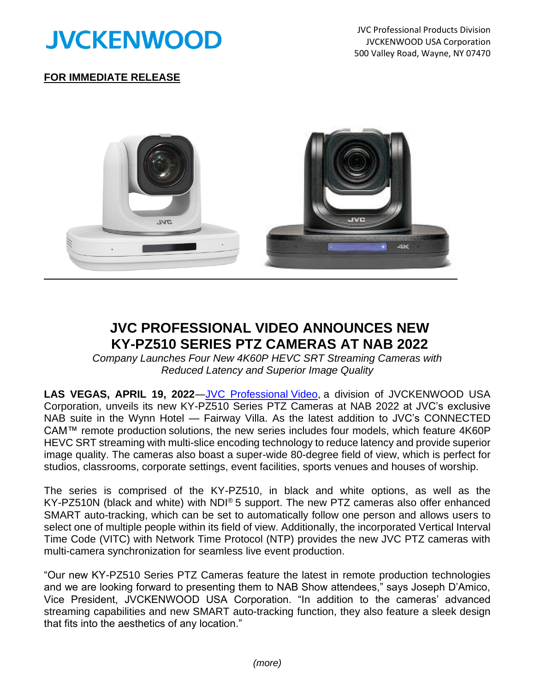

JVC Professional Products Division JVCKENWOOD USA Corporation 500 Valley Road, Wayne, NY 07470

## **FOR IMMEDIATE RELEASE**



## **JVC PROFESSIONAL VIDEO ANNOUNCES NEW KY-PZ510 SERIES PTZ CAMERAS AT NAB 2022**

*Company Launches Four New 4K60P HEVC SRT Streaming Cameras with Reduced Latency and Superior Image Quality*

**LAS VEGAS, APRIL 19, 2022**[―JVC Professional](http://pro.jvc.com/prof/main.jsp) Video, a division of JVCKENWOOD USA Corporation, unveils its new KY-PZ510 Series PTZ Cameras at NAB 2022 at JVC's exclusive NAB suite in the Wynn Hotel — Fairway Villa. As the latest addition to JVC's CONNECTED CAM™ remote production solutions, the new series includes four models, which feature 4K60P HEVC SRT streaming with multi-slice encoding technology to reduce latency and provide superior image quality. The cameras also boast a super-wide 80-degree field of view, which is perfect for studios, classrooms, corporate settings, event facilities, sports venues and houses of worship.

The series is comprised of the KY-PZ510, in black and white options, as well as the KY-PZ510N (black and white) with NDI® 5 support. The new PTZ cameras also offer enhanced SMART auto-tracking, which can be set to automatically follow one person and allows users to select one of multiple people within its field of view. Additionally, the incorporated Vertical Interval Time Code (VITC) with Network Time Protocol (NTP) provides the new JVC PTZ cameras with multi-camera synchronization for seamless live event production.

"Our new KY-PZ510 Series PTZ Cameras feature the latest in remote production technologies and we are looking forward to presenting them to NAB Show attendees," says Joseph D'Amico, Vice President, JVCKENWOOD USA Corporation. "In addition to the cameras' advanced streaming capabilities and new SMART auto-tracking function, they also feature a sleek design that fits into the aesthetics of any location."